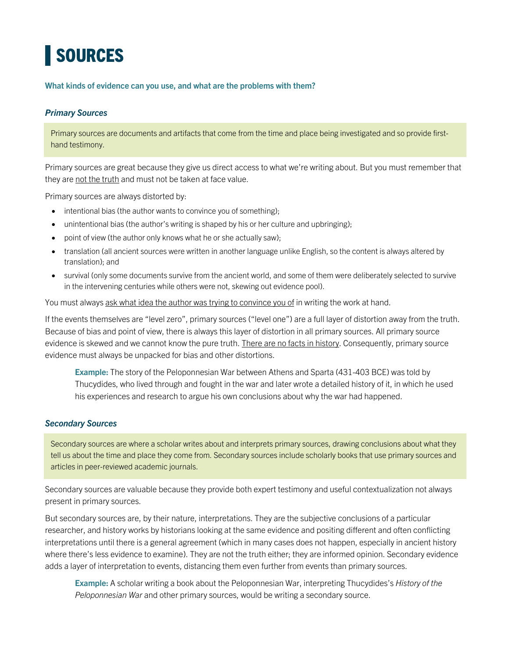## **SOURCES**

**What kinds of evidence can you use, and what are the problems with them?**

## *Primary Sources*

Primary sources are documents and artifacts that come from the time and place being investigated and so provide firsthand testimony.

Primary sources are great because they give us direct access to what we're writing about. But you must remember that they are not the truth and must not be taken at face value.

Primary sources are always distorted by:

- intentional bias (the author wants to convince you of something);
- unintentional bias (the author's writing is shaped by his or her culture and upbringing);
- point of view (the author only knows what he or she actually saw);
- translation (all ancient sources were written in another language unlike English, so the content is always altered by translation); and
- survival (only some documents survive from the ancient world, and some of them were deliberately selected to survive in the intervening centuries while others were not, skewing out evidence pool).

You must always ask what idea the author was trying to convince you of in writing the work at hand.

If the events themselves are "level zero", primary sources ("level one") are a full layer of distortion away from the truth. Because of bias and point of view, there is always this layer of distortion in all primary sources. All primary source evidence is skewed and we cannot know the pure truth. There are no facts in history. Consequently, primary source evidence must always be unpacked for bias and other distortions.

**Example:** The story of the Peloponnesian War between Athens and Sparta (431-403 BCE) was told by Thucydides, who lived through and fought in the war and later wrote a detailed history of it, in which he used his experiences and research to argue his own conclusions about why the war had happened.

## *Secondary Sources*

Secondary sources are where a scholar writes about and interprets primary sources, drawing conclusions about what they tell us about the time and place they come from. Secondary sources include scholarly books that use primary sources and articles in peer-reviewed academic journals.

Secondary sources are valuable because they provide both expert testimony and useful contextualization not always present in primary sources.

But secondary sources are, by their nature, interpretations. They are the subjective conclusions of a particular researcher, and history works by historians looking at the same evidence and positing different and often conflicting interpretations until there is a general agreement (which in many cases does not happen, especially in ancient history where there's less evidence to examine). They are not the truth either; they are informed opinion. Secondary evidence adds a layer of interpretation to events, distancing them even further from events than primary sources.

**Example:** A scholar writing a book about the Peloponnesian War, interpreting Thucydides's *History of the Peloponnesian War* and other primary sources, would be writing a secondary source.